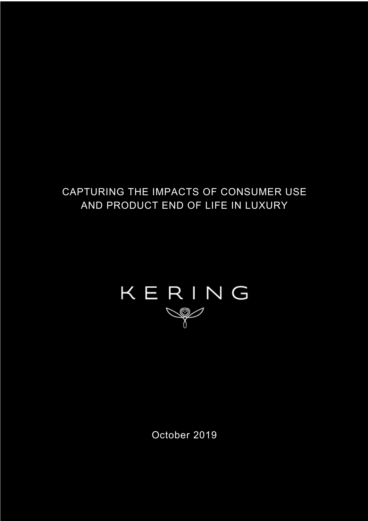## CAPTURING THE IMPACTS OF CONSUMER USE AND PRODUCT END OF LIFE IN LUXURY

# KERING

October 2019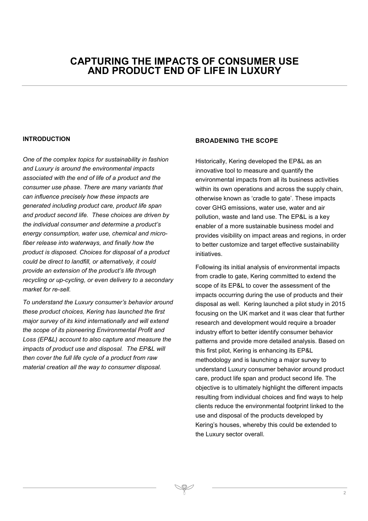### **CAPTURING THE IMPACTS OF CONSUMER USE AND PRODUCT END OF LIFE IN LUXURY**

#### **INTRODUCTION**

*One of the complex topics for sustainability in fashion and Luxury is around the environmental impacts associated with the end of life of a product and the consumer use phase. There are many variants that can influence precisely how these impacts are generated including product care, product life span and product second life. These choices are driven by the individual consumer and determine a product's energy consumption, water use, chemical and microfiber release into waterways, and finally how the product is disposed. Choices for disposal of a product could be direct to landfill, or alternatively, it could provide an extension of the product's life through recycling or up-cycling, or even delivery to a secondary market for re-sell.* 

*To understand the Luxury consumer's behavior around these product choices, Kering has launched the first major survey of its kind internationally and will extend the scope of its pioneering Environmental Profit and Loss (EP&L) account to also capture and measure the impacts of product use and disposal. The EP&L will then cover the full life cycle of a product from raw material creation all the way to consumer disposal.*

#### **BROADENING THE SCOPE**

Historically, Kering developed the EP&L as an innovative tool to measure and quantify the environmental impacts from all its business activities within its own operations and across the supply chain, otherwise known as 'cradle to gate'. These impacts cover GHG emissions, water use, water and air pollution, waste and land use. The EP&L is a key enabler of a more sustainable business model and provides visibility on impact areas and regions, in order to better customize and target effective sustainability initiatives.

Following its initial analysis of environmental impacts from cradle to gate, Kering committed to extend the scope of its EP&L to cover the assessment of the impacts occurring during the use of products and their disposal as well. Kering launched a pilot study in 2015 focusing on the UK market and it was clear that further research and development would require a broader industry effort to better identify consumer behavior patterns and provide more detailed analysis. Based on this first pilot, Kering is enhancing its EP&L methodology and is launching a major survey to understand Luxury consumer behavior around product care, product life span and product second life. The objective is to ultimately highlight the different impacts resulting from individual choices and find ways to help clients reduce the environmental footprint linked to the use and disposal of the products developed by Kering's houses, whereby this could be extended to the Luxury sector overall.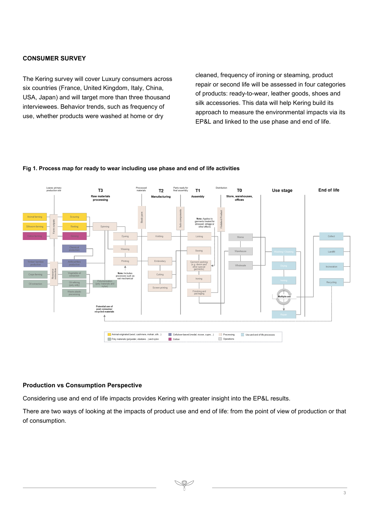#### **CONSUMER SURVEY**

The Kering survey will cover Luxury consumers across six countries (France, United Kingdom, Italy, China, USA, Japan) and will target more than three thousand interviewees. Behavior trends, such as frequency of use, whether products were washed at home or dry

cleaned, frequency of ironing or steaming, product repair or second life will be assessed in four categories of products: ready-to-wear, leather goods, shoes and silk accessories. This data will help Kering build its approach to measure the environmental impacts via its EP&L and linked to the use phase and end of life.



#### **Fig 1. Process map for ready to wear including use phase and end of life activities**

#### **Production vs Consumption Perspective**

Considering use and end of life impacts provides Kering with greater insight into the EP&L results.

There are two ways of looking at the impacts of product use and end of life: from the point of view of production or that of consumption.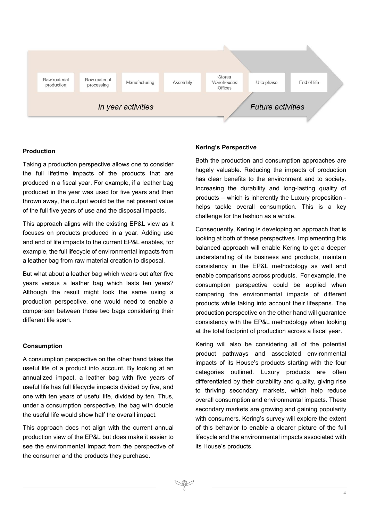

#### **Production**

Taking a production perspective allows one to consider the full lifetime impacts of the products that are produced in a fiscal year. For example, if a leather bag produced in the year was used for five years and then thrown away, the output would be the net present value of the full five years of use and the disposal impacts.

This approach aligns with the existing EP&L view as it focuses on products produced in a year. Adding use and end of life impacts to the current EP&L enables, for example, the full lifecycle of environmental impacts from a leather bag from raw material creation to disposal.

But what about a leather bag which wears out after five years versus a leather bag which lasts ten years? Although the result might look the same using a production perspective, one would need to enable a comparison between those two bags considering their different life span.

#### **Consumption**

A consumption perspective on the other hand takes the useful life of a product into account. By looking at an annualized impact, a leather bag with five years of useful life has full lifecycle impacts divided by five, and one with ten years of useful life, divided by ten. Thus, under a consumption perspective, the bag with double the useful life would show half the overall impact.

This approach does not align with the current annual production view of the EP&L but does make it easier to see the environmental impact from the perspective of the consumer and the products they purchase.

#### **Kering's Perspective**

Both the production and consumption approaches are hugely valuable. Reducing the impacts of production has clear benefits to the environment and to society. Increasing the durability and long-lasting quality of products – which is inherently the Luxury proposition helps tackle overall consumption. This is a key challenge for the fashion as a whole.

Consequently, Kering is developing an approach that is looking at both of these perspectives. Implementing this balanced approach will enable Kering to get a deeper understanding of its business and products, maintain consistency in the EP&L methodology as well and enable comparisons across products. For example, the consumption perspective could be applied when comparing the environmental impacts of different products while taking into account their lifespans. The production perspective on the other hand will guarantee consistency with the EP&L methodology when looking at the total footprint of production across a fiscal year.

Kering will also be considering all of the potential product pathways and associated environmental impacts of its House's products starting with the four categories outlined. Luxury products are often differentiated by their durability and quality, giving rise to thriving secondary markets, which help reduce overall consumption and environmental impacts. These secondary markets are growing and gaining popularity with consumers. Kering's survey will explore the extent of this behavior to enable a clearer picture of the full lifecycle and the environmental impacts associated with its House's products.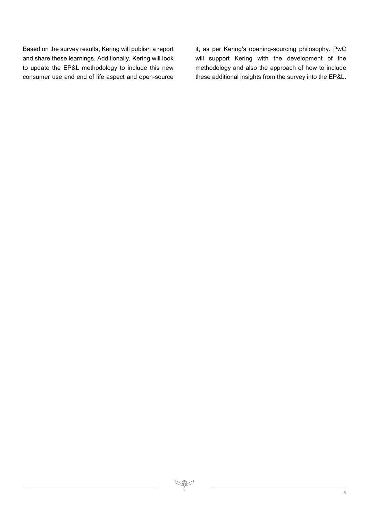Based on the survey results, Kering will publish a report and share these learnings. Additionally, Kering will look to update the EP&L methodology to include this new consumer use and end of life aspect and open-source it, as per Kering's opening-sourcing philosophy. PwC will support Kering with the development of the methodology and also the approach of how to include these additional insights from the survey into the EP&L.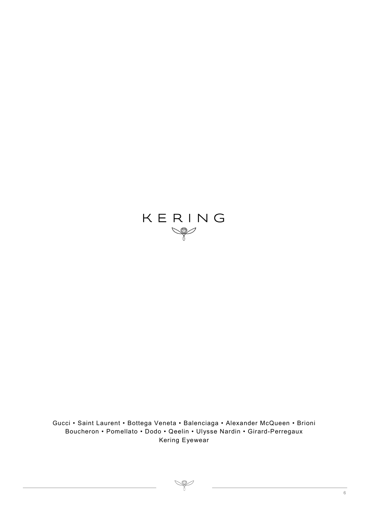

Gucci • Saint Laurent • Bottega Veneta • Balenciaga • Alexander McQueen • Brioni Boucheron • Pomellato • Dodo • Qeelin • Ulysse Nardin • Girard-Perregaux Kering Eyewear